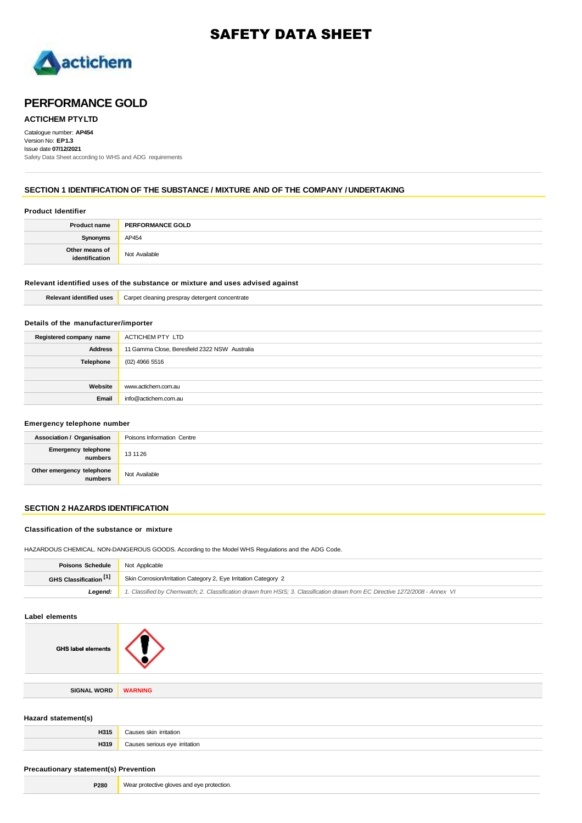# SAFETY DATA SHEET



## **PERFORMANCE GOLD**

## **ACTICHEM PTYLTD**

Catalogue number: **AP454** Version No: **EP1.3** Issue date **07/12/2021** Safety Data Sheet according to WHS and ADG requirements

## **SECTION 1 IDENTIFICATION OF THE SUBSTANCE / MIXTURE AND OF THE COMPANY / UNDERTAKING**

| <b>Product Identifier</b>        |                         |
|----------------------------------|-------------------------|
| <b>Product name</b>              | <b>PERFORMANCE GOLD</b> |
| Synonyms                         | AP454                   |
| Other means of<br>identification | Not Available           |

## **Relevant identified uses of the substance or mixture and uses advised against**

| <b>Relevant identified uses</b> | Carpet cleaning prespray detergent concentrate |
|---------------------------------|------------------------------------------------|
|---------------------------------|------------------------------------------------|

#### **Details of the manufacturer/importer**

| Registered company name | ACTICHEM PTY LTD                              |
|-------------------------|-----------------------------------------------|
| <b>Address</b>          | 11 Gamma Close, Beresfield 2322 NSW Australia |
| Telephone               | (02) 4966 5516                                |
|                         |                                               |
| Website                 | www.actichem.com.au                           |
| Email                   | info@actichem.com.au                          |

#### **Emergency telephone number**

| <b>Association / Organisation</b>    | Poisons Information Centre |
|--------------------------------------|----------------------------|
| Emergency telephone<br>numbers       | 13 11 26                   |
| Other emergency telephone<br>numbers | Not Available              |

## **SECTION 2 HAZARDS IDENTIFICATION**

### **Classification of the substance or mixture**

HAZARDOUS CHEMICAL. NON-DANGEROUS GOODS. According to the Model WHS Regulations and the ADG Code.

| <b>Poisons Schedule</b> Not Applicable |                                                                                                                               |  |
|----------------------------------------|-------------------------------------------------------------------------------------------------------------------------------|--|
| GHS Classification [1]                 | Skin Corrosion/Irritation Category 2, Eye Irritation Category 2                                                               |  |
| Legend:                                | 1. Classified by Chemwatch: 2. Classification drawn from HSIS: 3. Classification drawn from EC Directive 1272/2008 - Annex VI |  |

## **Label elements**

| <b>GHS label elements</b> |                |
|---------------------------|----------------|
|                           |                |
| <b>SIGNAL WORD</b>        | <b>WARNING</b> |

## **Hazard statement(s)**

| H315 | Causes skin_irritation_       |
|------|-------------------------------|
| H319 | Causes serious eye irritation |

## **Precautionary statement(s) Prevention**

| P280 | مما۸<br>protection.<br>11 Y C C<br>.<br>$\sim$ $\sim$ |
|------|-------------------------------------------------------|
|      |                                                       |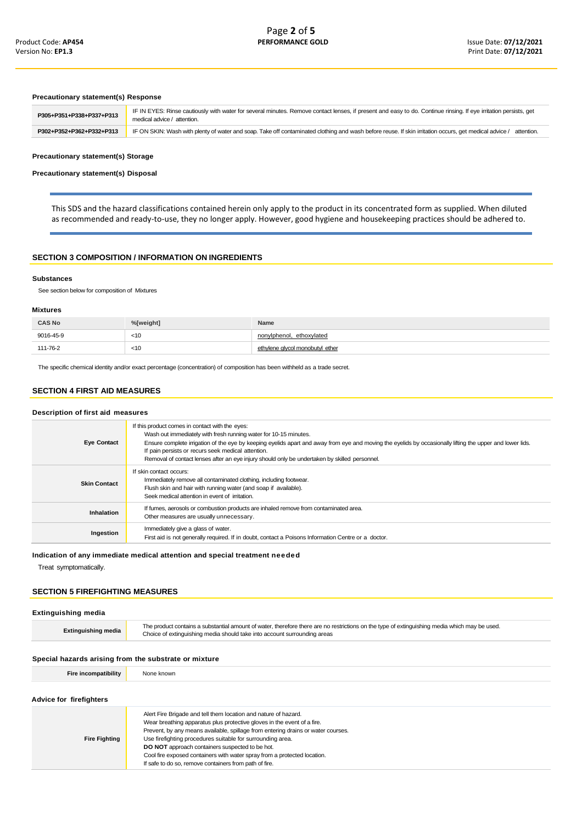#### **Precautionary statement(s) Response**

| P305+P351+P338+P337+P313 | IF IN EYES: Rinse cautiously with water for several minutes. Remove contact lenses, if present and easy to do. Continue rinsing. If eye irritation persists, get<br>medical advice / attention. |
|--------------------------|-------------------------------------------------------------------------------------------------------------------------------------------------------------------------------------------------|
| P302+P352+P362+P332+P313 | IF ON SKIN: Wash with plenty of water and soap. Take off contaminated clothing and wash before reuse. If skin irritation occurs, get medical advice /<br>attention.                             |

#### **Precautionary statement(s) Storage**

#### **Precautionary statement(s) Disposal**

This SDS and the hazard classifications contained herein only apply to the product in its concentrated form as supplied. When diluted as recommended and ready-to-use, they no longer apply. However, good hygiene and housekeeping practices should be adhered to.

### **SECTION 3 COMPOSITION / INFORMATION ON INGREDIENTS**

#### **Substances**

See section below for composition of Mixtures

#### **Mixtures**

| <b>CAS No</b> | %[weight] | Name                            |
|---------------|-----------|---------------------------------|
| 9016-45-9     | $<$ 10    | nonviphenol, ethoxylated        |
| 111-76-2      | $<$ 10    | ethylene alvcol monobutyl ether |

The specific chemical identity and/or exact percentage (concentration) of composition has been withheld as a trade secret.

## **SECTION 4 FIRST AID MEASURES**

### **Description of first aid measures**

| <b>Eye Contact</b>  | If this product comes in contact with the eyes:<br>Wash out immediately with fresh running water for 10-15 minutes.<br>Ensure complete irrigation of the eye by keeping eyelids apart and away from eye and moving the eyelids by occasionally lifting the upper and lower lids.<br>If pain persists or recurs seek medical attention.<br>Removal of contact lenses after an eye injury should only be undertaken by skilled personnel. |
|---------------------|-----------------------------------------------------------------------------------------------------------------------------------------------------------------------------------------------------------------------------------------------------------------------------------------------------------------------------------------------------------------------------------------------------------------------------------------|
| <b>Skin Contact</b> | If skin contact occurs:<br>Immediately remove all contaminated clothing, including footwear.<br>Flush skin and hair with running water (and soap if available).<br>Seek medical attention in event of irritation.                                                                                                                                                                                                                       |
| <b>Inhalation</b>   | If fumes, aerosols or combustion products are inhaled remove from contaminated area.<br>Other measures are usually unnecessary.                                                                                                                                                                                                                                                                                                         |
| Ingestion           | Immediately give a glass of water.<br>First aid is not generally required. If in doubt, contact a Poisons Information Centre or a doctor.                                                                                                                                                                                                                                                                                               |

### **Indication of any immediate medical attention and special treatment needed**

Treat symptomatically.

#### **SECTION 5 FIREFIGHTING MEASURES**

**Fire Fighting**

### **Extinguishing media**

| <b>Extinguishing media</b> | The product contains a substantial amount of water, therefore there are no restrictions on the type of extinguishing media which may be used.<br>Choice of extinguishing media should take into account surrounding areas |
|----------------------------|---------------------------------------------------------------------------------------------------------------------------------------------------------------------------------------------------------------------------|
|                            |                                                                                                                                                                                                                           |

## **Special hazards arising from the substrate or mixture**

| Fire incompatibility    | None known                                                                                                                                                                                                                     |
|-------------------------|--------------------------------------------------------------------------------------------------------------------------------------------------------------------------------------------------------------------------------|
| Advice for firefighters |                                                                                                                                                                                                                                |
|                         | Alert Fire Brigade and tell them location and nature of hazard.<br>Wear breathing apparatus plus protective gloves in the event of a fire.<br>Prevent, by any means available, spillage from entering drains or water courses. |

Use firefighting procedures suitable for surrounding area. **DO NOT** approach containers suspected to be hot.

If safe to do so, remove containers from path of fire.

Cool fire exposed containers with water spray from a protected location.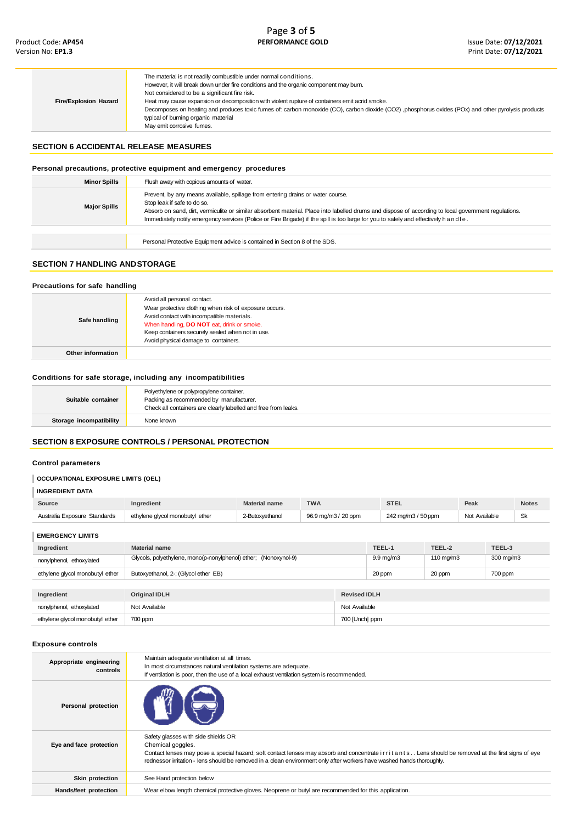| <b>Fire/Explosion Hazard</b> | The material is not readily combustible under normal conditions.<br>However, it will break down under fire conditions and the organic component may burn.<br>Not considered to be a significant fire risk.<br>Heat may cause expansion or decomposition with violent rupture of containers emit acrid smoke.<br>Decomposes on heating and produces toxic fumes of: carbon monoxide (CO), carbon dioxide (CO2), phosphorus oxides (POx) and other pyrolysis products<br>typical of burning organic material<br>May emit corrosive fumes. |
|------------------------------|-----------------------------------------------------------------------------------------------------------------------------------------------------------------------------------------------------------------------------------------------------------------------------------------------------------------------------------------------------------------------------------------------------------------------------------------------------------------------------------------------------------------------------------------|

## **SECTION 6 ACCIDENTAL RELEASE MEASURES**

## **Personal precautions, protective equipment and emergency procedures**

| <b>Minor Spills</b> | Flush away with copious amounts of water.                                                                                                                                                                                                                                                                                                                                                                         |
|---------------------|-------------------------------------------------------------------------------------------------------------------------------------------------------------------------------------------------------------------------------------------------------------------------------------------------------------------------------------------------------------------------------------------------------------------|
| <b>Major Spills</b> | Prevent, by any means available, spillage from entering drains or water course.<br>Stop leak if safe to do so.<br>Absorb on sand, dirt, vermiculite or similar absorbent material. Place into labelled drums and dispose of according to local government regulations.<br>Immediately notify emergency services (Police or Fire Brigade) if the spill is too large for you to safely and effectively h a n d l e. |
|                     |                                                                                                                                                                                                                                                                                                                                                                                                                   |
|                     | Personal Protective Equipment advice is contained in Section 8 of the SDS.                                                                                                                                                                                                                                                                                                                                        |

## **SECTION 7 HANDLING ANDSTORAGE**

### **Precautions for safe handling**

| Safe handling     | Avoid all personal contact.<br>Wear protective clothing when risk of exposure occurs.<br>Avoid contact with incompatible materials.<br>When handling, DO NOT eat, drink or smoke.<br>Keep containers securely sealed when not in use.<br>Avoid physical damage to containers. |
|-------------------|-------------------------------------------------------------------------------------------------------------------------------------------------------------------------------------------------------------------------------------------------------------------------------|
| Other information |                                                                                                                                                                                                                                                                               |

### **Conditions for safe storage, including any incompatibilities**

| Suitable container      | Polyethylene or polypropylene container.<br>Packing as recommended by manufacturer.<br>Check all containers are clearly labelled and free from leaks. |
|-------------------------|-------------------------------------------------------------------------------------------------------------------------------------------------------|
| Storage incompatibility | None known                                                                                                                                            |
|                         |                                                                                                                                                       |

## **SECTION 8 EXPOSURE CONTROLS / PERSONAL PROTECTION**

### **Control parameters**

## **OCCUPATIONAL EXPOSURE LIMITS (OEL)**

#### **INGREDIENT DATA**

| Source                       | <b>Tredient</b>                 | <b>Material name</b> | <b>TWA</b>          | STEL               | Peak          | <b>Notes</b> |
|------------------------------|---------------------------------|----------------------|---------------------|--------------------|---------------|--------------|
| Australia Exposure Standards | ethylene glycol monobutyl ether | ?-Butoxvethanol      | 96.9 mg/m3 / 20 ppm | 242 mg/m3 / 50 ppm | Not Available | ەن<br>$\sim$ |

**EMERGENCY LIMITS**

| Ingredient                      | Material name                                                   |                     | TEEL-1             | TEEL-2             | TEEL-3    |  |
|---------------------------------|-----------------------------------------------------------------|---------------------|--------------------|--------------------|-----------|--|
| nonylphenol, ethoxylated        | Glycols, polyethylene, mono(p-nonylphenol) ether; (Nonoxynol-9) |                     | $9.9 \text{ mg/m}$ | $110 \text{ mg/m}$ | 300 mg/m3 |  |
| ethylene glycol monobutyl ether | Butoxyethanol, 2-; (Glycol ether EB)                            |                     | 20 ppm             | 20 ppm             | 700 ppm   |  |
|                                 |                                                                 |                     |                    |                    |           |  |
| Ingredient                      | Original IDLH                                                   | <b>Revised IDLH</b> |                    |                    |           |  |
| nonylphenol, ethoxylated        | Not Available                                                   | Not Available       |                    |                    |           |  |
| ethylene glycol monobutyl ether | 700 ppm                                                         | 700 [Unch] ppm      |                    |                    |           |  |

#### **Exposure controls**

| Appropriate engineering<br>controls | Maintain adequate ventilation at all times.<br>In most circumstances natural ventilation systems are adequate.<br>If ventilation is poor, then the use of a local exhaust ventilation system is recommended.                                                                                                                                       |
|-------------------------------------|----------------------------------------------------------------------------------------------------------------------------------------------------------------------------------------------------------------------------------------------------------------------------------------------------------------------------------------------------|
| Personal protection                 |                                                                                                                                                                                                                                                                                                                                                    |
| Eye and face protection             | Safety glasses with side shields OR<br>Chemical goggles.<br>Contact lenses may pose a special hazard; soft contact lenses may absorb and concentrate i r r i t a n t s . Lens should be removed at the first signs of eye<br>rednessor irritation - lens should be removed in a clean environment only after workers have washed hands thoroughly. |
| Skin protection                     | See Hand protection below                                                                                                                                                                                                                                                                                                                          |
| Hands/feet protection               | Wear elbow length chemical protective gloves. Neoprene or butyl are recommended for this application.                                                                                                                                                                                                                                              |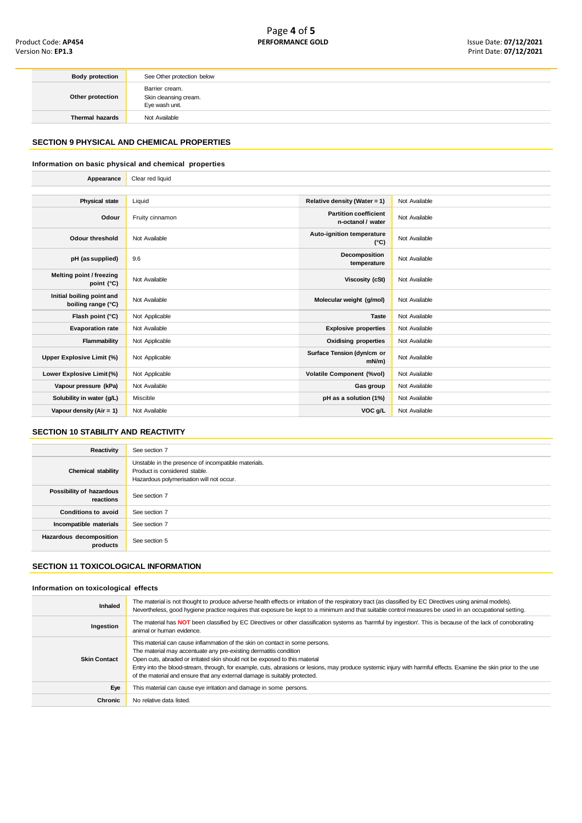| <b>Body protection</b> | See Other protection below                                |
|------------------------|-----------------------------------------------------------|
| Other protection       | Barrier cream.<br>Skin cleansing cream.<br>Eye wash unit. |
| <b>Thermal hazards</b> | Not Available                                             |

## **SECTION 9 PHYSICAL AND CHEMICAL PROPERTIES**

## **Information on basic physical and chemical properties**

| Appearance                                      | Clear red liquid |                                                   |               |
|-------------------------------------------------|------------------|---------------------------------------------------|---------------|
|                                                 |                  |                                                   |               |
| <b>Physical state</b>                           | Liquid           | Relative density (Water = 1)                      | Not Available |
| Odour                                           | Fruity cinnamon  | <b>Partition coefficient</b><br>n-octanol / water | Not Available |
| Odour threshold                                 | Not Available    | Auto-ignition temperature<br>$(^{\circ}C)$        | Not Available |
| pH (as supplied)                                | 9.6              | Decomposition<br>temperature                      | Not Available |
| Melting point / freezing<br>point (°C)          | Not Available    | Viscosity (cSt)                                   | Not Available |
| Initial boiling point and<br>boiling range (°C) | Not Available    | Molecular weight (g/mol)                          | Not Available |
| Flash point (°C)                                | Not Applicable   | <b>Taste</b>                                      | Not Available |
| <b>Evaporation rate</b>                         | Not Available    | <b>Explosive properties</b>                       | Not Available |
| Flammability                                    | Not Applicable   | <b>Oxidising properties</b>                       | Not Available |
| Upper Explosive Limit (%)                       | Not Applicable   | Surface Tension (dyn/cm or<br>$mN/m$ )            | Not Available |
| Lower Explosive Limit (%)                       | Not Applicable   | <b>Volatile Component (%vol)</b>                  | Not Available |
| Vapour pressure (kPa)                           | Not Available    | Gas group                                         | Not Available |
| Solubility in water (g/L)                       | Miscible         | pH as a solution (1%)                             | Not Available |
| Vapour density (Air = 1)                        | Not Available    | VOC g/L                                           | Not Available |

## **SECTION 10 STABILITY AND REACTIVITY**

| Reactivity                            | See section 7                                                                                                                    |
|---------------------------------------|----------------------------------------------------------------------------------------------------------------------------------|
| Chemical stability                    | Unstable in the presence of incompatible materials.<br>Product is considered stable.<br>Hazardous polymerisation will not occur. |
| Possibility of hazardous<br>reactions | See section 7                                                                                                                    |
| <b>Conditions to avoid</b>            | See section 7                                                                                                                    |
| Incompatible materials                | See section 7                                                                                                                    |
| Hazardous decomposition<br>products   | See section 5                                                                                                                    |

## **SECTION 11 TOXICOLOGICAL INFORMATION**

## **Information on toxicological effects**

| Inhaled             | The material is not thought to produce adverse health effects or irritation of the respiratory tract (as classified by EC Directives using animal models).<br>Nevertheless, good hygiene practice requires that exposure be kept to a minimum and that suitable control measures be used in an occupational setting.                                                                                                                                                                 |
|---------------------|--------------------------------------------------------------------------------------------------------------------------------------------------------------------------------------------------------------------------------------------------------------------------------------------------------------------------------------------------------------------------------------------------------------------------------------------------------------------------------------|
| Ingestion           | The material has NOT been classified by EC Directives or other classification systems as 'harmful by ingestion'. This is because of the lack of corroborating<br>animal or human evidence.                                                                                                                                                                                                                                                                                           |
| <b>Skin Contact</b> | This material can cause inflammation of the skin on contact in some persons.<br>The material may accentuate any pre-existing dermatitis condition<br>Open cuts, abraded or irritated skin should not be exposed to this material<br>Entry into the blood-stream, through, for example, cuts, abrasions or lesions, may produce systemic injury with harmful effects. Examine the skin prior to the use<br>of the material and ensure that any external damage is suitably protected. |
| Eye                 | This material can cause eye irritation and damage in some persons.                                                                                                                                                                                                                                                                                                                                                                                                                   |
| <b>Chronic</b>      | No relative data listed.                                                                                                                                                                                                                                                                                                                                                                                                                                                             |